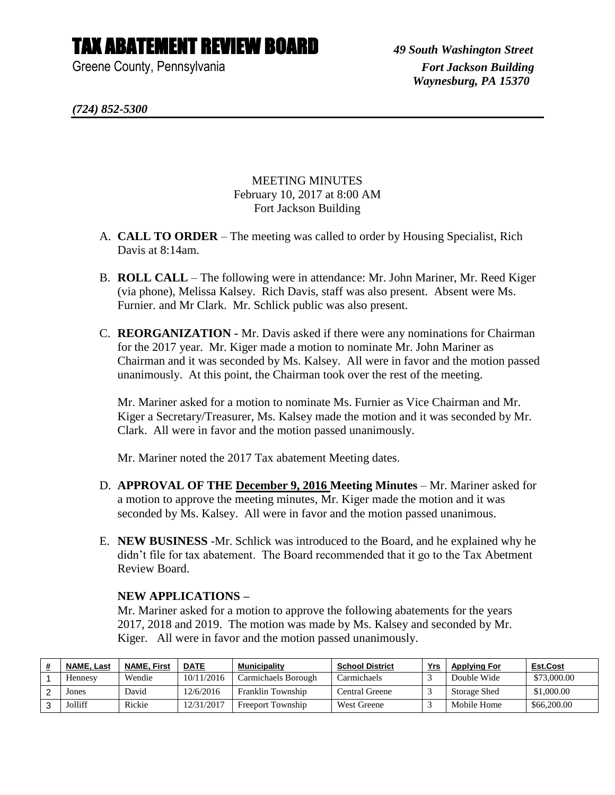## TAX ABATEMENT REVIEW BOARD *49 South Washington Street*

Greene County, Pennsylvania *Fort Jackson Building* 

 *Waynesburg, PA 15370*

*(724) 852-5300*

MEETING MINUTES February 10, 2017 at 8:00 AM Fort Jackson Building

- A. **CALL TO ORDER** The meeting was called to order by Housing Specialist, Rich Davis at 8:14am.
- B. **ROLL CALL** The following were in attendance: Mr. John Mariner, Mr. Reed Kiger (via phone), Melissa Kalsey. Rich Davis, staff was also present. Absent were Ms. Furnier. and Mr Clark. Mr. Schlick public was also present.
- C. **REORGANIZATION -** Mr. Davis asked if there were any nominations for Chairman for the 2017 year. Mr. Kiger made a motion to nominate Mr. John Mariner as Chairman and it was seconded by Ms. Kalsey. All were in favor and the motion passed unanimously. At this point, the Chairman took over the rest of the meeting.

Mr. Mariner asked for a motion to nominate Ms. Furnier as Vice Chairman and Mr. Kiger a Secretary/Treasurer, Ms. Kalsey made the motion and it was seconded by Mr. Clark. All were in favor and the motion passed unanimously.

Mr. Mariner noted the 2017 Tax abatement Meeting dates.

- D. **APPROVAL OF THE December 9, 2016 Meeting Minutes** Mr. Mariner asked for a motion to approve the meeting minutes, Mr. Kiger made the motion and it was seconded by Ms. Kalsey. All were in favor and the motion passed unanimous.
- E. **NEW BUSINESS** -Mr. Schlick was introduced to the Board, and he explained why he didn't file for tax abatement. The Board recommended that it go to the Tax Abetment Review Board.

## **NEW APPLICATIONS –**

Mr. Mariner asked for a motion to approve the following abatements for the years 2017, 2018 and 2019. The motion was made by Ms. Kalsey and seconded by Mr. Kiger. All were in favor and the motion passed unanimously.

| <b>NAME, Last</b> | <b>NAME. First</b> | <b>DATE</b> | <b>Municipality</b>      | <b>School District</b> | Yrs | <b>Applying For</b> | Est.Cost    |
|-------------------|--------------------|-------------|--------------------------|------------------------|-----|---------------------|-------------|
| Hennesy           | Wendie             | 10/11/2016  | Carmichaels Borough      | Carmichaels            |     | Double Wide         | \$73,000.00 |
| Jones             | David              | 12/6/2016   | Franklin Township        | Central Greene         |     | Storage Shed        | \$1,000.00  |
| Jolliff           | Rickie             | 12/31/2017  | <b>Freeport Township</b> | <b>West Greene</b>     |     | Mobile Home         | \$66,200.00 |